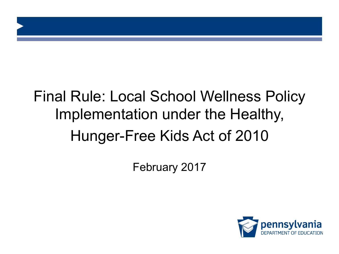# Final Rule: Local School Wellness Policy Implementation under the Healthy, Hunger-Free Kids Act of 2010

February 2017

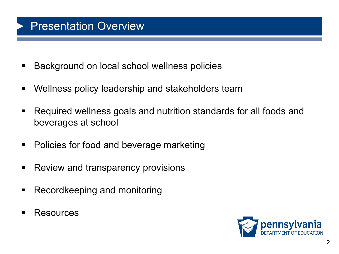### Presentation Overview

- Background on local school wellness policies
- Wellness policy leadership and stakeholders team
- Required wellness goals and nutrition standards for all foods and beverages at school
- Policies for food and beverage marketing
- Review and transparency provisions
- Recordkeeping and monitoring
- § Resources

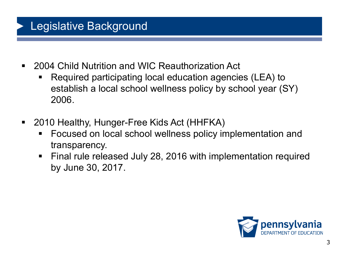## Legislative Background

- 2004 Child Nutrition and WIC Reauthorization Act
	- Required participating local education agencies (LEA) to establish a local school wellness policy by school year (SY) 2006.
- 2010 Healthy, Hunger-Free Kids Act (HHFKA)
	- Focused on local school wellness policy implementation and transparency.
	- Final rule released July 28, 2016 with implementation required by June 30, 2017.

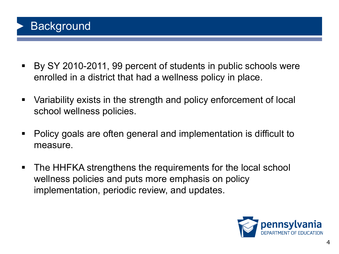## **Background**

- By SY 2010-2011, 99 percent of students in public schools were enrolled in a district that had a wellness policy in place.
- § Variability exists in the strength and policy enforcement of local school wellness policies.
- Policy goals are often general and implementation is difficult to measure.
- The HHFKA strengthens the requirements for the local school wellness policies and puts more emphasis on policy implementation, periodic review, and updates.

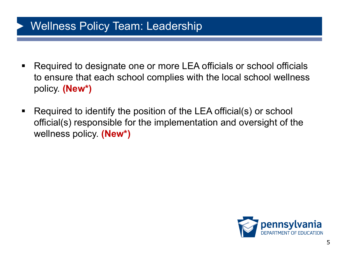### Wellness Policy Team: Leadership

- Required to designate one or more LEA officials or school officials to ensure that each school complies with the local school wellness policy. **(New\*)**
- Required to identify the position of the LEA official(s) or school official(s) responsible for the implementation and oversight of the wellness policy. **(New\*)**

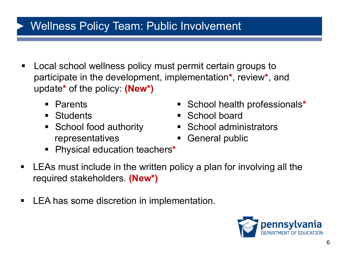### Wellness Policy Team: Public Involvement

- Local school wellness policy must permit certain groups to participate in the development, implementation**\***, review**\***, and update**\*** of the policy: **(New\*)**
	- § Parents
	- Students
	- School food authority representatives
- § School health professionals**\***
- School board
- § School administrators
- General public
- § Physical education teachers**\***
- LEAs must include in the written policy a plan for involving all the required stakeholders. **(New\*)**
- LEA has some discretion in implementation.

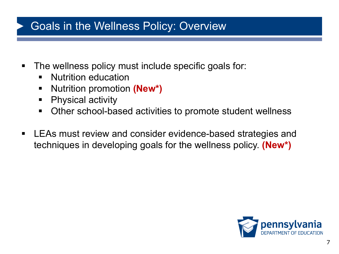### Goals in the Wellness Policy: Overview

- **The wellness policy must include specific goals for:** 
	- **E** Nutrition education
	- § Nutrition promotion **(New\*)**
	- Physical activity
	- Other school-based activities to promote student wellness
- LEAs must review and consider evidence-based strategies and techniques in developing goals for the wellness policy. **(New\*)**

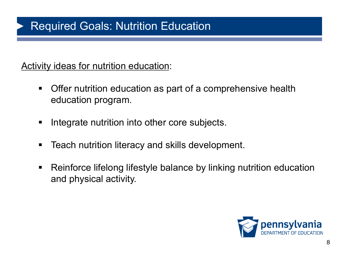### Required Goals: Nutrition Education

Activity ideas for nutrition education:

- Offer nutrition education as part of a comprehensive health education program.
- **Integrate nutrition into other core subjects.**
- Teach nutrition literacy and skills development.
- Reinforce lifelong lifestyle balance by linking nutrition education and physical activity.

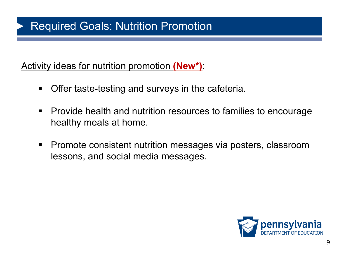### Required Goals: Nutrition Promotion

Activity ideas for nutrition promotion **(New\*)**:

- Offer taste-testing and surveys in the cafeteria.
- Provide health and nutrition resources to families to encourage healthy meals at home.
- Promote consistent nutrition messages via posters, classroom lessons, and social media messages.

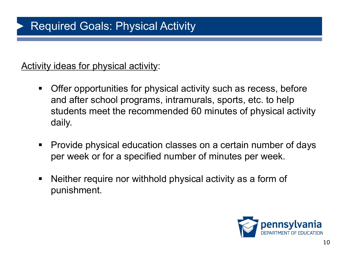Activity ideas for physical activity:

- Offer opportunities for physical activity such as recess, before and after school programs, intramurals, sports, etc. to help students meet the recommended 60 minutes of physical activity daily.
- Provide physical education classes on a certain number of days per week or for a specified number of minutes per week.
- Neither require nor withhold physical activity as a form of punishment.

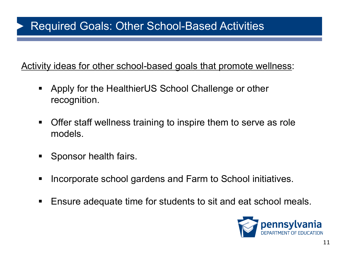### Required Goals: Other School-Based Activities

Activity ideas for other school-based goals that promote wellness:

- § Apply for the HealthierUS School Challenge or other recognition.
- **Offer staff wellness training to inspire them to serve as role** models.
- Sponsor health fairs.
- Incorporate school gardens and Farm to School initiatives.
- Ensure adequate time for students to sit and eat school meals.

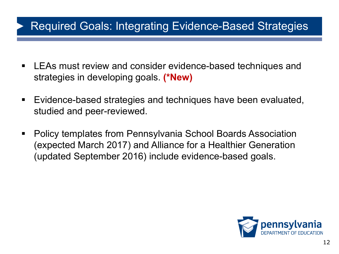### Required Goals: Integrating Evidence-Based Strategies

- LEAs must review and consider evidence-based techniques and strategies in developing goals. **(\*New)**
- Evidence-based strategies and techniques have been evaluated, studied and peer-reviewed.
- § Policy templates from Pennsylvania School Boards Association (expected March 2017) and Alliance for a Healthier Generation (updated September 2016) include evidence-based goals.

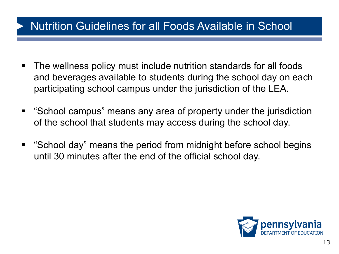### Nutrition Guidelines for all Foods Available in School

- The wellness policy must include nutrition standards for all foods and beverages available to students during the school day on each participating school campus under the jurisdiction of the LEA.
- § "School campus" means any area of property under the jurisdiction of the school that students may access during the school day.
- "School day" means the period from midnight before school begins until 30 minutes after the end of the official school day.

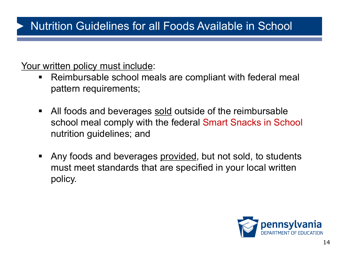### Nutrition Guidelines for all Foods Available in School

Your written policy must include:

- Reimbursable school meals are compliant with federal meal pattern requirements;
- All foods and beverages sold outside of the reimbursable school meal comply with the federal Smart Snacks in School nutrition guidelines; and
- Any foods and beverages provided, but not sold, to students must meet standards that are specified in your local written policy.

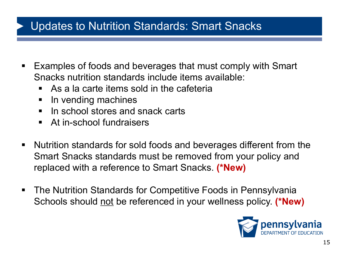### Updates to Nutrition Standards: Smart Snacks

- Examples of foods and beverages that must comply with Smart Snacks nutrition standards include items available:
	- As a la carte items sold in the cafeteria
	- In vending machines
	- In school stores and snack carts
	- **EXECUTE: At in-school fundraisers**
- Nutrition standards for sold foods and beverages different from the Smart Snacks standards must be removed from your policy and replaced with a reference to Smart Snacks. **(\*New)**
- The Nutrition Standards for Competitive Foods in Pennsylvania Schools should not be referenced in your wellness policy. **(\*New)**

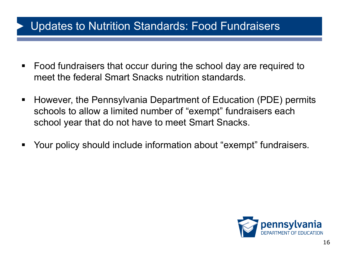### Updates to Nutrition Standards: Food Fundraisers

- Food fundraisers that occur during the school day are required to meet the federal Smart Snacks nutrition standards.
- However, the Pennsylvania Department of Education (PDE) permits schools to allow a limited number of "exempt" fundraisers each school year that do not have to meet Smart Snacks.
- Your policy should include information about "exempt" fundraisers.

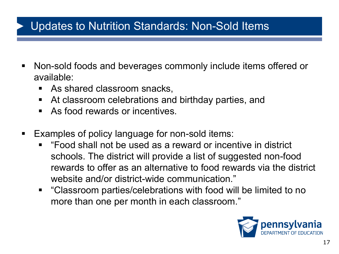### Updates to Nutrition Standards: Non-Sold Items

- Non-sold foods and beverages commonly include items offered or available:
	- As shared classroom snacks,
	- At classroom celebrations and birthday parties, and
	- As food rewards or incentives.
- Examples of policy language for non-sold items:
	- "Food shall not be used as a reward or incentive in district schools. The district will provide a list of suggested non-food rewards to offer as an alternative to food rewards via the district website and/or district-wide communication."
	- "Classroom parties/celebrations with food will be limited to no more than one per month in each classroom."

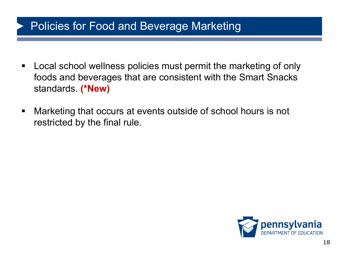### Policies for Food and Beverage Marketing

- Local school wellness policies must permit the marketing of only foods and beverages that are consistent with the Smart Snacks standards. **(\*New)**
- Marketing that occurs at events outside of school hours is not restricted by the final rule.

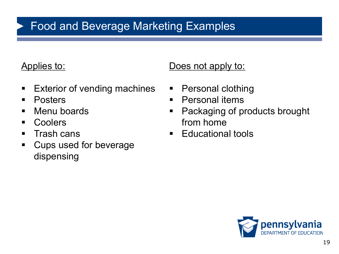## Food and Beverage Marketing Examples

#### Applies to:

- **Exterior of vending machines**
- Posters
- Menu boards
- Coolers
- Trash cans
- **Cups used for beverage** dispensing

#### Does not apply to:

- Personal clothing
- Personal items
- **Packaging of products brought** from home
- Educational tools

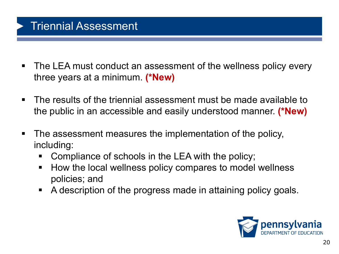### Triennial Assessment

- The LEA must conduct an assessment of the wellness policy every three years at a minimum. **(\*New)**
- The results of the triennial assessment must be made available to the public in an accessible and easily understood manner. **(\*New)**
- The assessment measures the implementation of the policy, including:
	- Compliance of schools in the LEA with the policy;
	- How the local wellness policy compares to model wellness policies; and
	- A description of the progress made in attaining policy goals.

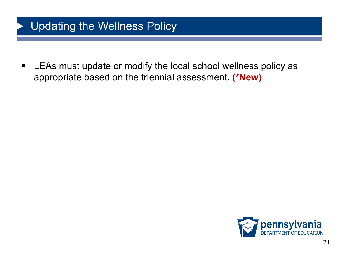### Updating the Wellness Policy

■ LEAs must update or modify the local school wellness policy as appropriate based on the triennial assessment. **(\*New)** 

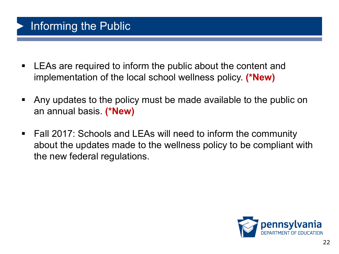### Informing the Public

- LEAs are required to inform the public about the content and implementation of the local school wellness policy. **(\*New)**
- § Any updates to the policy must be made available to the public on an annual basis. **(\*New)**
- Fall 2017: Schools and LEAs will need to inform the community about the updates made to the wellness policy to be compliant with the new federal regulations.

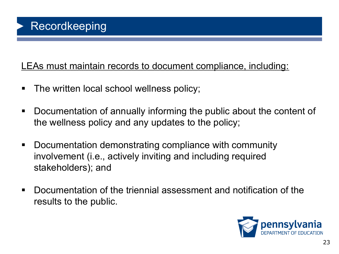LEAs must maintain records to document compliance, including:

- **The written local school wellness policy;**
- Documentation of annually informing the public about the content of the wellness policy and any updates to the policy;
- Documentation demonstrating compliance with community involvement (i.e., actively inviting and including required stakeholders); and
- Documentation of the triennial assessment and notification of the results to the public.

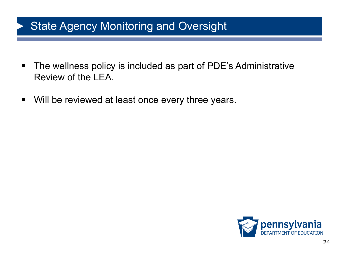### **State Agency Monitoring and Oversight**

- The wellness policy is included as part of PDE's Administrative Review of the LEA.
- Will be reviewed at least once every three years.

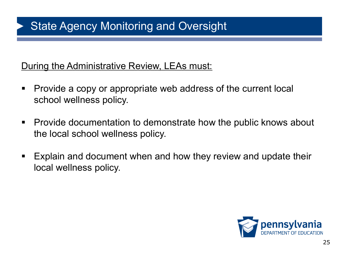### **State Agency Monitoring and Oversight**

#### During the Administrative Review, LEAs must:

- Provide a copy or appropriate web address of the current local school wellness policy.
- Provide documentation to demonstrate how the public knows about the local school wellness policy.
- Explain and document when and how they review and update their local wellness policy.

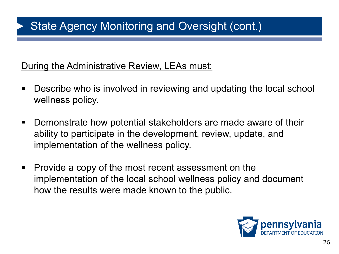#### During the Administrative Review, LEAs must:

- Describe who is involved in reviewing and updating the local school wellness policy.
- Demonstrate how potential stakeholders are made aware of their ability to participate in the development, review, update, and implementation of the wellness policy.
- Provide a copy of the most recent assessment on the implementation of the local school wellness policy and document how the results were made known to the public.

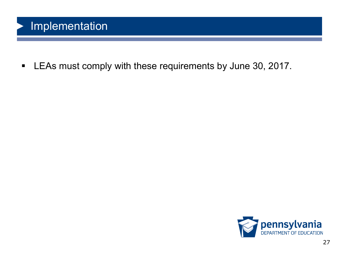### Implementation

■ LEAs must comply with these requirements by June 30, 2017.

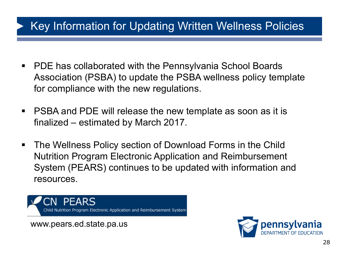### Key Information for Updating Written Wellness Policies

- PDE has collaborated with the Pennsylvania School Boards Association (PSBA) to update the PSBA wellness policy template for compliance with the new regulations.
- PSBA and PDE will release the new template as soon as it is finalized – estimated by March 2017.
- The Wellness Policy section of Download Forms in the Child Nutrition Program Electronic Application and Reimbursement System (PEARS) continues to be updated with information and resources.

Nutrition Program Electronic Application and Reimbursement System

www.pears.ed.state.pa.us

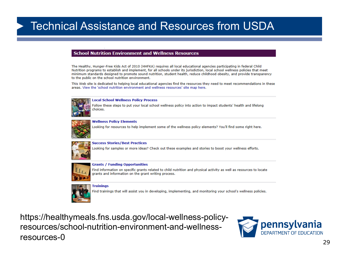### Technical Assistance and Resources from USDA

#### **School Nutrition Environment and Wellness Resources**

The Healthy, Hunger-Free Kids Act of 2010 (HHFKA) requires all local educational agencies participating in federal Child Nutrition programs to establish and implement, for all schools under its jurisdiction, local school wellness policies that meet minimum standards designed to promote sound nutrition, student health, reduce childhood obesity, and provide transparency to the public on the school nutrition environment.

This Web site is dedicated to helping local educational agencies find the resources they need to meet recommendations in these areas. View the 'school nutrition environment and wellness resources' site map here.



**Local School Wellness Policy Process** 

Follow these steps to put your local school wellness policy into action to impact students' health and lifelong choices.



**Wellness Policy Elements** 

Looking for resources to help implement some of the wellness policy elements? You'll find some right here.



**Success Stories/Best Practices** 

Looking for samples or more ideas? Check out these examples and stories to boost your wellness efforts.



**Grants / Funding Opportunities** 

Find information on specific grants related to child nutrition and physical activity as well as resources to locate grants and information on the grant writing process.



**Trainings** 

Find trainings that will assist you in developing, implementing, and monitoring your school's wellness policies.

https://healthymeals.fns.usda.gov/local-wellness-policyresources/school-nutrition-environment-and-wellnessresources-0

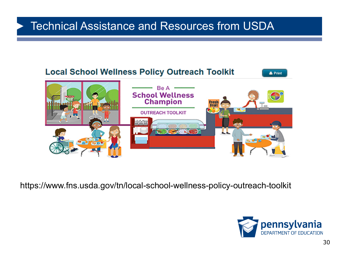### Technical Assistance and Resources from USDA



https://www.fns.usda.gov/tn/local-school-wellness-policy-outreach-toolkit

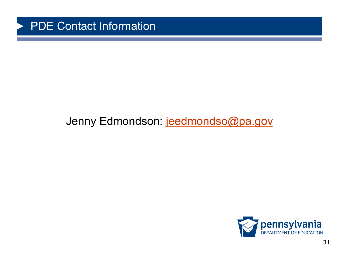

### Jenny Edmondson: jeedmondso@pa.gov

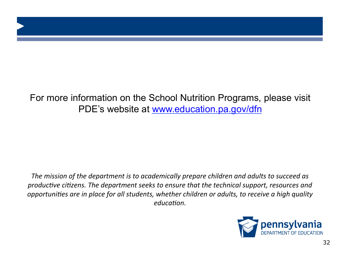### For more information on the School Nutrition Programs, please visit PDE's website at www.education.pa.gov/dfn

The mission of the department is to academically prepare children and adults to succeed as *productive citizens. The department seeks to ensure that the technical support, resources and opportunities are in place for all students, whether children or adults, to receive a high quality education.*